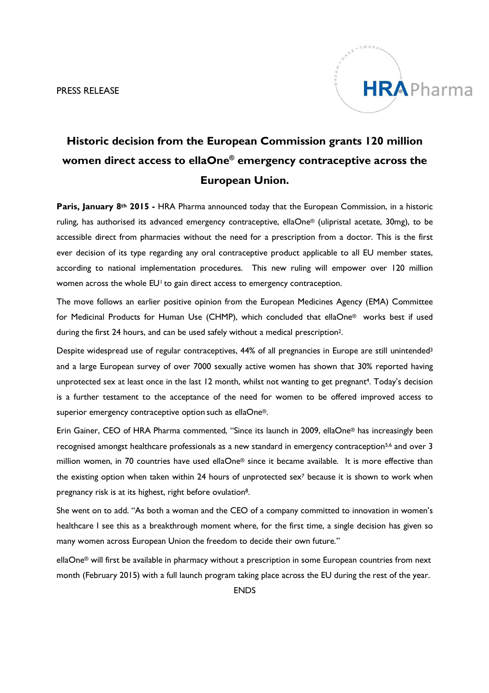PRESS RELEASE



# **Historic decision from the European Commission grants 120 million women direct access to ellaOne® emergency contraceptive across the European Union.**

**Paris, January 8th 2015 -** HRA Pharma announced today that the European Commission, in a historic ruling, has authorised its advanced emergency contraceptive, ellaOne® (ulipristal acetate, 30mg), to be accessible direct from pharmacies without the need for a prescription from a doctor. This is the first ever decision of its type regarding any oral contraceptive product applicable to all EU member states, according to national implementation procedures. This new ruling will empower over 120 million women across the whole EU<sup>1</sup> to gain direct access to emergency contraception.

The move follows an earlier positive opinion from the European Medicines Agency (EMA) Committee for Medicinal Products for Human Use (CHMP), which concluded that ellaOne® works best if used during the first 24 hours, and can be used safely without a medical prescription<sup>2</sup>.

Despite widespread use of regular contraceptives, 44% of all pregnancies in Europe are still unintended<sup>3</sup> and a large European survey of over 7000 sexually active women has shown that 30% reported having unprotected sex at least once in the last 12 month, whilst not wanting to get pregnant<sup>4</sup>. Today's decision is a further testament to the acceptance of the need for women to be offered improved access to superior emergency contraceptive option such as ellaOne®.

Erin Gainer, CEO of HRA Pharma commented, "Since its launch in 2009, ellaOne® has increasingly been recognised amongst healthcare professionals as a new standard in emergency contraception<sup>5,6</sup> and over 3 million women, in 70 countries have used ellaOne® since it became available. It is more effective than the existing option when taken within 24 hours of unprotected sex<sup>7</sup> because it is shown to work when pregnancy risk is at its highest, right before ovulation8.

She went on to add. "As both a woman and the CEO of a company committed to innovation in women's healthcare I see this as a breakthrough moment where, for the first time, a single decision has given so many women across European Union the freedom to decide their own future."

ellaOne® will first be available in pharmacy without a prescription in some European countries from next month (February 2015) with a full launch program taking place across the EU during the rest of the year.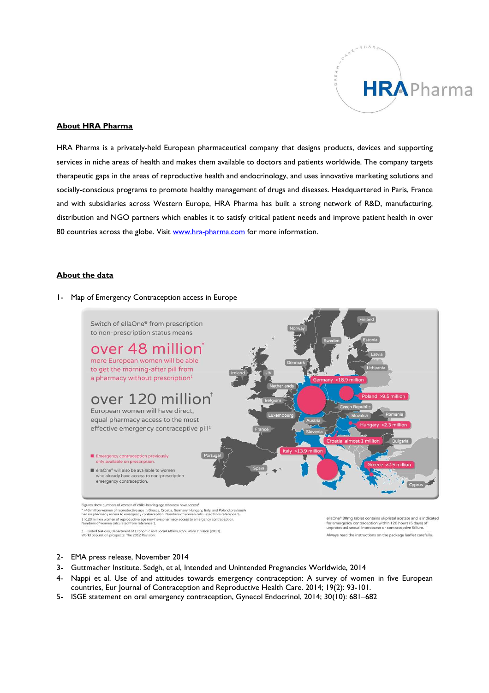

### **About HRA Pharma**

HRA Pharma is a privately-held European pharmaceutical company that designs products, devices and supporting services in niche areas of health and makes them available to doctors and patients worldwide. The company targets therapeutic gaps in the areas of reproductive health and endocrinology, and uses innovative marketing solutions and socially-conscious programs to promote healthy management of drugs and diseases. Headquartered in Paris, France and with subsidiaries across Western Europe, HRA Pharma has built a strong network of R&D, manufacturing, distribution and NGO partners which enables it to satisfy critical patient needs and improve patient health in over 80 countries across the globe. Visit www.hra-pharma.com for more information.

#### **About the data**

#### 1- Map of Emergency Contraception access in Europe



Figures show numbers of women of child-bearing age who now have access<sup>1</sup> -<br>\* >48 million women of reproductive age in Greece, Croatia, Germany, Hungary, Italy, and Poland previou \*<br>had no pharmacy access to emergency contraception. Numbers of women calculated from reference 1. † >120 million women of reproductive age now have pharmacy access to emergency contraception<br>Numbers of women calculated from reference 1. 1. United Nations, Department of Economic and Social Affairs, Population Division (2013).<br>World population prospects: The 2012 Revision.

ellaOne® 30mg tablet contains ulipristal acetate and is indicated for emergency contraception within 120 hours (5 days) of<br>unprotected sexual intercourse or contraceptive failure.

Always read the instructions on the package leaflet carefully.

- 2- EMA press release, November 2014
- 3- Guttmacher Institute. Sedgh, et al, Intended and Unintended Pregnancies Worldwide, 2014
- 4- Nappi et al. Use of and attitudes towards emergency contraception: A survey of women in five European countries, Eur Journal of Contraception and Reproductive Health Care. 2014; 19(2): 93-101.
- 5- ISGE statement on oral emergency contraception, Gynecol Endocrinol, 2014; 30(10): 681–682